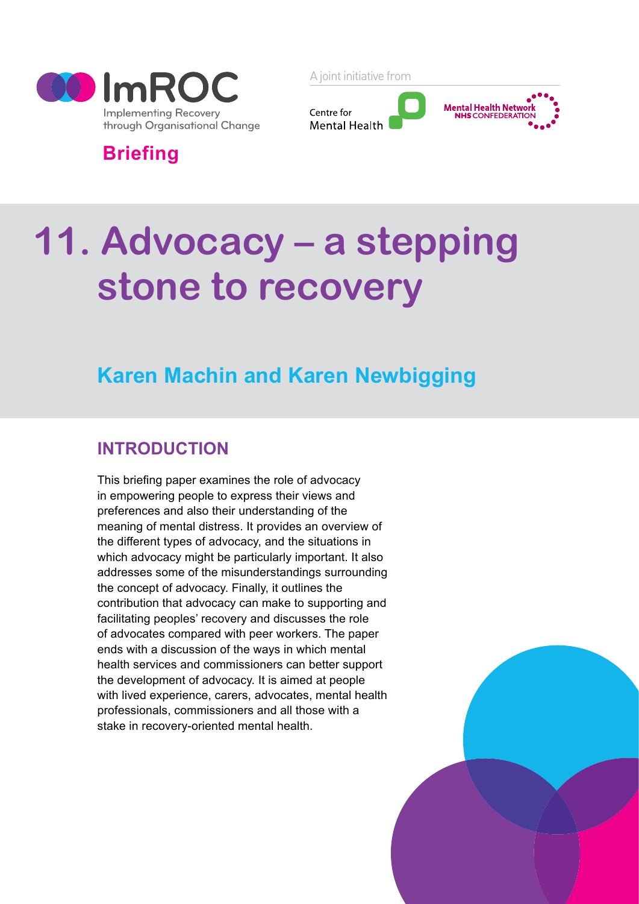

A joint initiative from



**Briefing**

# **11. Advocacy – a stepping stone to recovery**

# **Karen Machin and Karen Newbigging**

## **INTRODUCTION**

This briefing paper examines the role of advocacy in empowering people to express their views and preferences and also their understanding of the meaning of mental distress. It provides an overview of the different types of advocacy, and the situations in which advocacy might be particularly important. It also addresses some of the misunderstandings surrounding the concept of advocacy. Finally, it outlines the contribution that advocacy can make to supporting and facilitating peoples' recovery and discusses the role of advocates compared with peer workers. The paper ends with a discussion of the ways in which mental health services and commissioners can better support the development of advocacy. It is aimed at people with lived experience, carers, advocates, mental health professionals, commissioners and all those with a stake in recovery-oriented mental health.

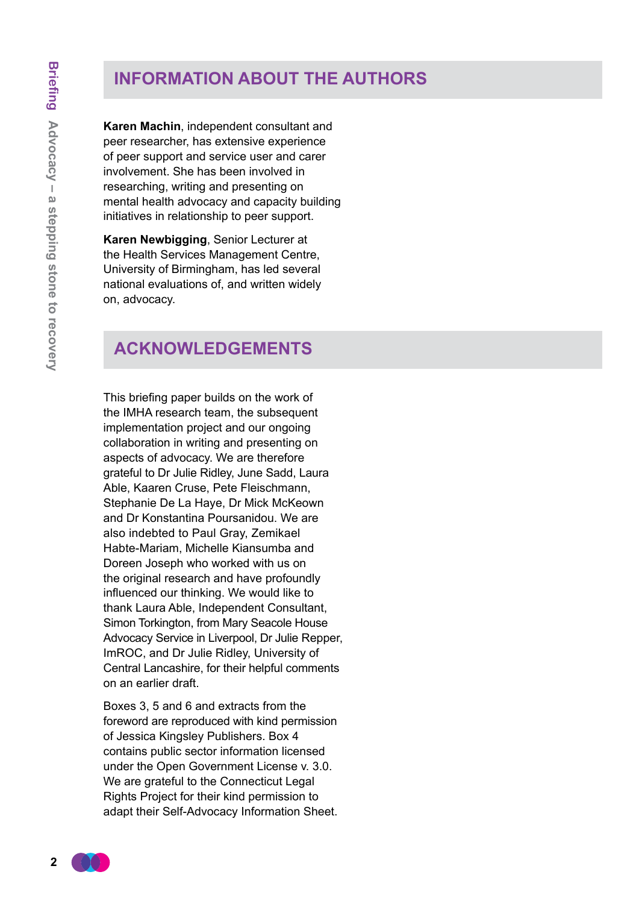## **INFORMATION ABOUT THE AUTHORS**

**Karen Machin**, independent consultant and peer researcher, has extensive experience of peer support and service user and carer involvement. She has been involved in researching, writing and presenting on mental health advocacy and capacity building initiatives in relationship to peer support.

**Karen Newbigging**, Senior Lecturer at the Health Services Management Centre, University of Birmingham, has led several national evaluations of, and written widely on, advocacy.

## **acknowledgements**

This briefing paper builds on the work of the IMHA research team, the subsequent implementation project and our ongoing collaboration in writing and presenting on aspects of advocacy. We are therefore grateful to Dr Julie Ridley, June Sadd, Laura Able, Kaaren Cruse, Pete Fleischmann, Stephanie De La Haye, Dr Mick McKeown and Dr Konstantina Poursanidou. We are also indebted to Paul Gray, Zemikael Habte-Mariam, Michelle Kiansumba and Doreen Joseph who worked with us on the original research and have profoundly influenced our thinking. We would like to thank Laura Able, Independent Consultant, Simon Torkington, from Mary Seacole House Advocacy Service in Liverpool, Dr Julie Repper, ImROC, and Dr Julie Ridley, University of Central Lancashire, for their helpful comments on an earlier draft.

Boxes 3, 5 and 6 and extracts from the foreword are reproduced with kind permission of Jessica Kingsley Publishers. Box 4 contains public sector information licensed under the Open Government License v. 3.0. We are grateful to the Connecticut Legal Rights Project for their kind permission to adapt their Self-Advocacy Information Sheet.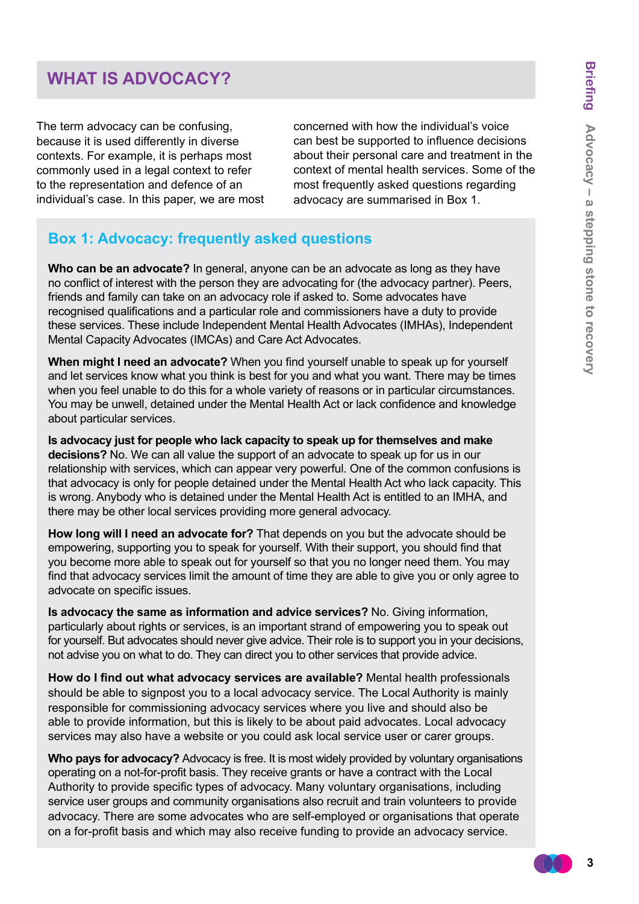## **WHAT IS ADVOCACY?**

The term advocacy can be confusing, because it is used differently in diverse contexts. For example, it is perhaps most commonly used in a legal context to refer to the representation and defence of an individual's case. In this paper, we are most

concerned with how the individual's voice can best be supported to influence decisions about their personal care and treatment in the context of mental health services. Some of the most frequently asked questions regarding advocacy are summarised in Box 1.

#### **Box 1: Advocacy: frequently asked questions**

**Who can be an advocate?** In general, anyone can be an advocate as long as they have no conflict of interest with the person they are advocating for (the advocacy partner). Peers, friends and family can take on an advocacy role if asked to. Some advocates have recognised qualifications and a particular role and commissioners have a duty to provide these services. These include Independent Mental Health Advocates (IMHAs), Independent Mental Capacity Advocates (IMCAs) and Care Act Advocates.

**When might I need an advocate?** When you find yourself unable to speak up for yourself and let services know what you think is best for you and what you want. There may be times when you feel unable to do this for a whole variety of reasons or in particular circumstances. You may be unwell, detained under the Mental Health Act or lack confidence and knowledge about particular services.

**Is advocacy just for people who lack capacity to speak up for themselves and make decisions?** No. We can all value the support of an advocate to speak up for us in our relationship with services, which can appear very powerful. One of the common confusions is that advocacy is only for people detained under the Mental Health Act who lack capacity. This is wrong. Anybody who is detained under the Mental Health Act is entitled to an IMHA, and there may be other local services providing more general advocacy.

**How long will I need an advocate for?** That depends on you but the advocate should be empowering, supporting you to speak for yourself. With their support, you should find that you become more able to speak out for yourself so that you no longer need them. You may find that advocacy services limit the amount of time they are able to give you or only agree to advocate on specific issues.

**Is advocacy the same as information and advice services?** No. Giving information, particularly about rights or services, is an important strand of empowering you to speak out for yourself. But advocates should never give advice. Their role is to support you in your decisions, not advise you on what to do. They can direct you to other services that provide advice.

**How do I find out what advocacy services are available?** Mental health professionals should be able to signpost you to a local advocacy service. The Local Authority is mainly responsible for commissioning advocacy services where you live and should also be able to provide information, but this is likely to be about paid advocates. Local advocacy services may also have a website or you could ask local service user or carer groups.

**Who pays for advocacy?** Advocacy is free. It is most widely provided by voluntary organisations operating on a not-for-profit basis. They receive grants or have a contract with the Local Authority to provide specific types of advocacy. Many voluntary organisations, including service user groups and community organisations also recruit and train volunteers to provide advocacy. There are some advocates who are self-employed or organisations that operate on a for-profit basis and which may also receive funding to provide an advocacy service.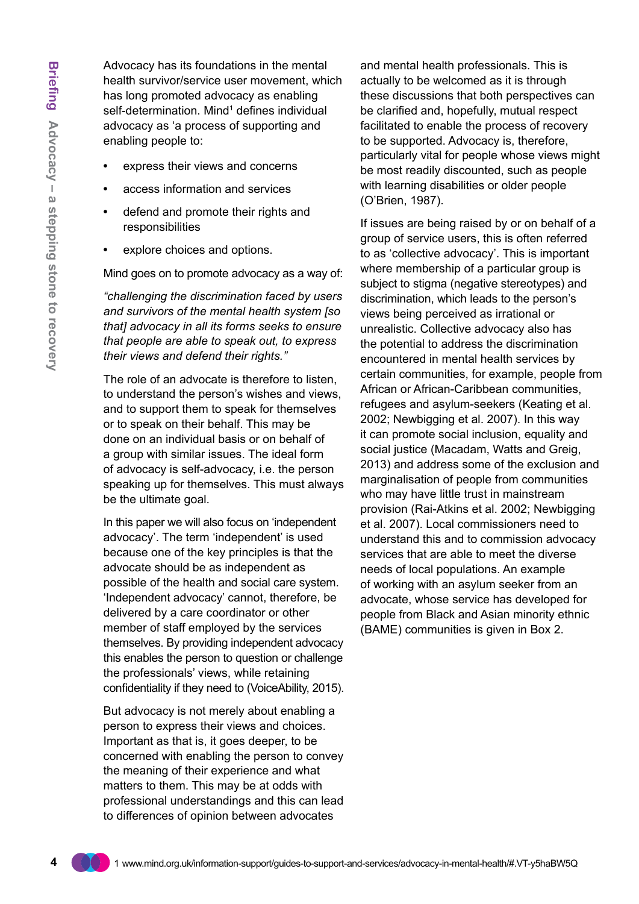Advocacy has its foundations in the mental health survivor/service user movement, which has long promoted advocacy as enabling self-determination. Mind<sup>1</sup> defines individual advocacy as 'a process of supporting and enabling people to:

- **•** express their views and concerns
- **•** access information and services
- **•** defend and promote their rights and responsibilities
- **•** explore choices and options.

Mind goes on to promote advocacy as a way of:

*"challenging the discrimination faced by users and survivors of the mental health system [so that] advocacy in all its forms seeks to ensure that people are able to speak out, to express their views and defend their rights."*

The role of an advocate is therefore to listen, to understand the person's wishes and views, and to support them to speak for themselves or to speak on their behalf. This may be done on an individual basis or on behalf of a group with similar issues. The ideal form of advocacy is self-advocacy, i.e. the person speaking up for themselves. This must always be the ultimate goal.

In this paper we will also focus on 'independent advocacy'. The term 'independent' is used because one of the key principles is that the advocate should be as independent as possible of the health and social care system. 'Independent advocacy' cannot, therefore, be delivered by a care coordinator or other member of staff employed by the services themselves. By providing independent advocacy this enables the person to question or challenge the professionals' views, while retaining confidentiality if they need to (VoiceAbility, 2015).

But advocacy is not merely about enabling a person to express their views and choices. Important as that is, it goes deeper, to be concerned with enabling the person to convey the meaning of their experience and what matters to them. This may be at odds with professional understandings and this can lead to differences of opinion between advocates

and mental health professionals. This is actually to be welcomed as it is through these discussions that both perspectives can be clarified and, hopefully, mutual respect facilitated to enable the process of recovery to be supported. Advocacy is, therefore, particularly vital for people whose views might be most readily discounted, such as people with learning disabilities or older people (O'Brien, 1987).

If issues are being raised by or on behalf of a group of service users, this is often referred to as 'collective advocacy'. This is important where membership of a particular group is subject to stigma (negative stereotypes) and discrimination, which leads to the person's views being perceived as irrational or unrealistic. Collective advocacy also has the potential to address the discrimination encountered in mental health services by certain communities, for example, people from African or African-Caribbean communities, refugees and asylum-seekers (Keating et al. 2002; Newbigging et al. 2007). In this way it can promote social inclusion, equality and social justice (Macadam, Watts and Greig, 2013) and address some of the exclusion and marginalisation of people from communities who may have little trust in mainstream provision (Rai-Atkins et al. 2002; Newbigging et al. 2007). Local commissioners need to understand this and to commission advocacy services that are able to meet the diverse needs of local populations. An example of working with an asylum seeker from an advocate, whose service has developed for people from Black and Asian minority ethnic (BAME) communities is given in Box 2.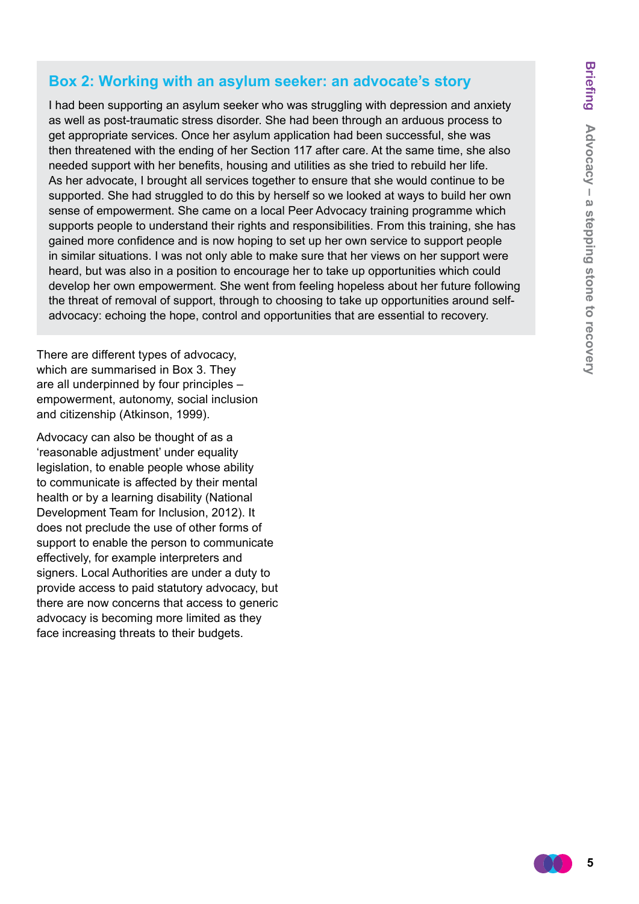#### **Box 2: Working with an asylum seeker: an advocate's story**

I had been supporting an asylum seeker who was struggling with depression and anxiety as well as post-traumatic stress disorder. She had been through an arduous process to get appropriate services. Once her asylum application had been successful, she was then threatened with the ending of her Section 117 after care. At the same time, she also needed support with her benefits, housing and utilities as she tried to rebuild her life. As her advocate, I brought all services together to ensure that she would continue to be supported. She had struggled to do this by herself so we looked at ways to build her own sense of empowerment. She came on a local Peer Advocacy training programme which supports people to understand their rights and responsibilities. From this training, she has gained more confidence and is now hoping to set up her own service to support people in similar situations. I was not only able to make sure that her views on her support were heard, but was also in a position to encourage her to take up opportunities which could develop her own empowerment. She went from feeling hopeless about her future following the threat of removal of support, through to choosing to take up opportunities around selfadvocacy: echoing the hope, control and opportunities that are essential to recovery.

There are different types of advocacy, which are summarised in Box 3. They are all underpinned by four principles – empowerment, autonomy, social inclusion and citizenship (Atkinson, 1999).

Advocacy can also be thought of as a 'reasonable adjustment' under equality legislation, to enable people whose ability to communicate is affected by their mental health or by a learning disability (National Development Team for Inclusion, 2012). It does not preclude the use of other forms of support to enable the person to communicate effectively, for example interpreters and signers. Local Authorities are under a duty to provide access to paid statutory advocacy, but there are now concerns that access to generic advocacy is becoming more limited as they face increasing threats to their budgets.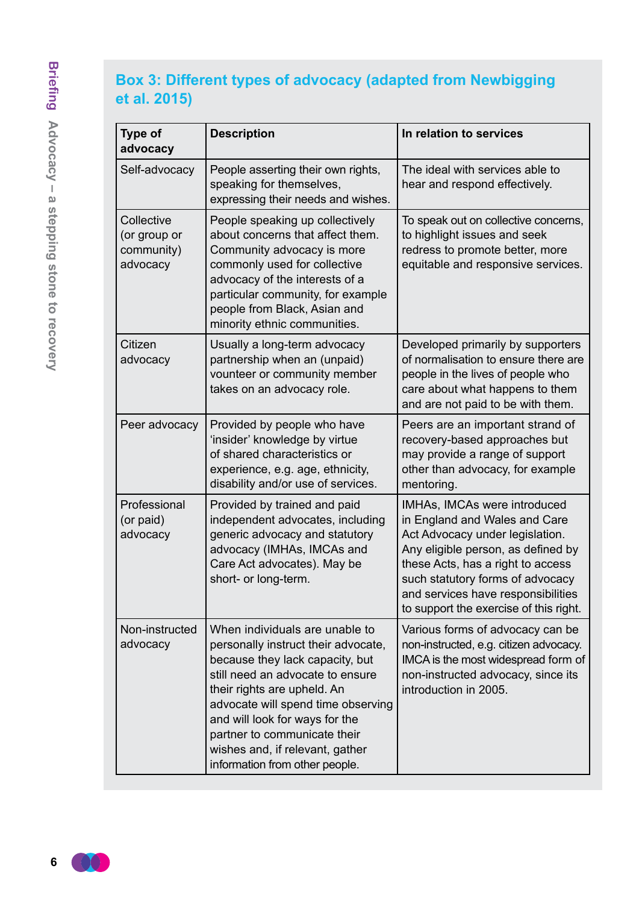## **Box 3: Different types of advocacy (adapted from Newbigging et al. 2015)**

| <b>Type of</b><br>advocacy                           | <b>Description</b>                                                                                                                                                                                                                                                                                                                                       | In relation to services                                                                                                                                                                                                                                                                         |
|------------------------------------------------------|----------------------------------------------------------------------------------------------------------------------------------------------------------------------------------------------------------------------------------------------------------------------------------------------------------------------------------------------------------|-------------------------------------------------------------------------------------------------------------------------------------------------------------------------------------------------------------------------------------------------------------------------------------------------|
| Self-advocacy                                        | People asserting their own rights,<br>speaking for themselves,<br>expressing their needs and wishes.                                                                                                                                                                                                                                                     | The ideal with services able to<br>hear and respond effectively.                                                                                                                                                                                                                                |
| Collective<br>(or group or<br>community)<br>advocacy | People speaking up collectively<br>about concerns that affect them.<br>Community advocacy is more<br>commonly used for collective<br>advocacy of the interests of a<br>particular community, for example<br>people from Black, Asian and<br>minority ethnic communities.                                                                                 | To speak out on collective concerns,<br>to highlight issues and seek<br>redress to promote better, more<br>equitable and responsive services.                                                                                                                                                   |
| Citizen<br>advocacy                                  | Usually a long-term advocacy<br>partnership when an (unpaid)<br>vounteer or community member<br>takes on an advocacy role.                                                                                                                                                                                                                               | Developed primarily by supporters<br>of normalisation to ensure there are<br>people in the lives of people who<br>care about what happens to them<br>and are not paid to be with them.                                                                                                          |
| Peer advocacy                                        | Provided by people who have<br>'insider' knowledge by virtue<br>of shared characteristics or<br>experience, e.g. age, ethnicity,<br>disability and/or use of services.                                                                                                                                                                                   | Peers are an important strand of<br>recovery-based approaches but<br>may provide a range of support<br>other than advocacy, for example<br>mentoring.                                                                                                                                           |
| Professional<br>(or paid)<br>advocacy                | Provided by trained and paid<br>independent advocates, including<br>generic advocacy and statutory<br>advocacy (IMHAs, IMCAs and<br>Care Act advocates). May be<br>short- or long-term.                                                                                                                                                                  | IMHAs, IMCAs were introduced<br>in England and Wales and Care<br>Act Advocacy under legislation.<br>Any eligible person, as defined by<br>these Acts, has a right to access<br>such statutory forms of advocacy<br>and services have responsibilities<br>to support the exercise of this right. |
| Non-instructed<br>advocacy                           | When individuals are unable to<br>personally instruct their advocate,<br>because they lack capacity, but<br>still need an advocate to ensure<br>their rights are upheld. An<br>advocate will spend time observing<br>and will look for ways for the<br>partner to communicate their<br>wishes and, if relevant, gather<br>information from other people. | Various forms of advocacy can be<br>non-instructed, e.g. citizen advocacy.<br>IMCA is the most widespread form of<br>non-instructed advocacy, since its<br>introduction in 2005.                                                                                                                |

 $(\top)$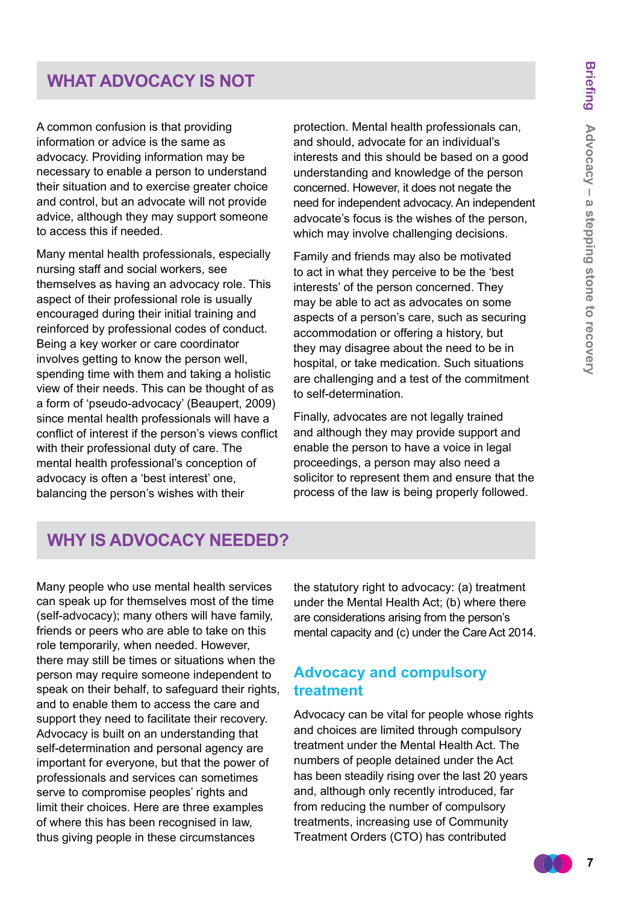## **WHAT ADVOCACY IS NOT**

A common confusion is that providing information or advice is the same as advocacy. Providing information may be necessary to enable a person to understand their situation and to exercise greater choice and control, but an advocate will not provide advice, although they may support someone to access this if needed.

Many mental health professionals, especially nursing staff and social workers, see themselves as having an advocacy role. This aspect of their professional role is usually encouraged during their initial training and reinforced by professional codes of conduct. Being a key worker or care coordinator involves getting to know the person well, spending time with them and taking a holistic view of their needs. This can be thought of as a form of 'pseudo-advocacy' (Beaupert, 2009) since mental health professionals will have a conflict of interest if the person's views conflict with their professional duty of care. The mental health professional's conception of advocacy is often a 'best interest' one, balancing the person's wishes with their

protection. Mental health professionals can, and should, advocate for an individual's interests and this should be based on a good understanding and knowledge of the person concerned. However, it does not negate the need for independent advocacy. An independent advocate's focus is the wishes of the person, which may involve challenging decisions.

Family and friends may also be motivated to act in what they perceive to be the 'best interests' of the person concerned. They may be able to act as advocates on some aspects of a person's care, such as securing accommodation or offering a history, but they may disagree about the need to be in hospital, or take medication. Such situations are challenging and a test of the commitment to self-determination.

Finally, advocates are not legally trained and although they may provide support and enable the person to have a voice in legal proceedings, a person may also need a solicitor to represent them and ensure that the process of the law is being properly followed.

## **WHy is ADVOCACY needed?**

Many people who use mental health services can speak up for themselves most of the time (self-advocacy); many others will have family, friends or peers who are able to take on this role temporarily, when needed. However, there may still be times or situations when the person may require someone independent to speak on their behalf, to safeguard their rights. and to enable them to access the care and support they need to facilitate their recovery. Advocacy is built on an understanding that self-determination and personal agency are important for everyone, but that the power of professionals and services can sometimes serve to compromise peoples' rights and limit their choices. Here are three examples of where this has been recognised in law, thus giving people in these circumstances

the statutory right to advocacy: (a) treatment under the Mental Health Act; (b) where there are considerations arising from the person's mental capacity and (c) under the Care Act 2014.

#### **Advocacy and compulsory treatment**

Advocacy can be vital for people whose rights and choices are limited through compulsory treatment under the Mental Health Act. The numbers of people detained under the Act has been steadily rising over the last 20 years and, although only recently introduced, far from reducing the number of compulsory treatments, increasing use of Community Treatment Orders (CTO) has contributed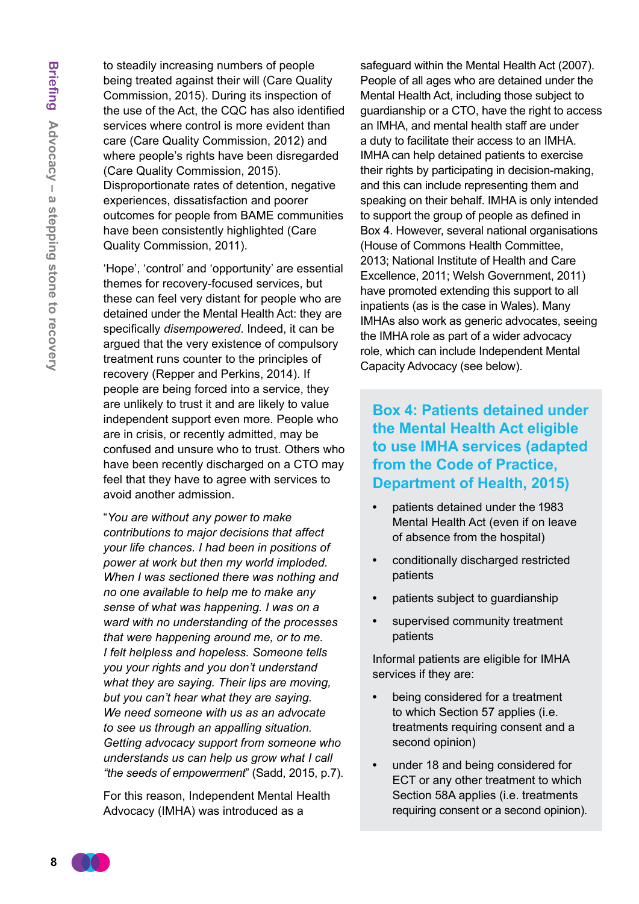to steadily increasing numbers of people being treated against their will (Care Quality Commission, 2015). During its inspection of the use of the Act, the CQC has also identified services where control is more evident than care (Care Quality Commission, 2012) and where people's rights have been disregarded (Care Quality Commission, 2015). Disproportionate rates of detention, negative experiences, dissatisfaction and poorer outcomes for people from BAME communities have been consistently highlighted (Care Quality Commission, 2011).

'Hope', 'control' and 'opportunity' are essential themes for recovery-focused services, but these can feel very distant for people who are detained under the Mental Health Act: they are specifically *disempowered*. Indeed, it can be argued that the very existence of compulsory treatment runs counter to the principles of recovery (Repper and Perkins, 2014). If people are being forced into a service, they are unlikely to trust it and are likely to value independent support even more. People who are in crisis, or recently admitted, may be confused and unsure who to trust. Others who have been recently discharged on a CTO may feel that they have to agree with services to avoid another admission.

"*You are without any power to make contributions to major decisions that affect your life chances. I had been in positions of power at work but then my world imploded. When I was sectioned there was nothing and no one available to help me to make any sense of what was happening. I was on a ward with no understanding of the processes that were happening around me, or to me. I felt helpless and hopeless. Someone tells you your rights and you don't understand what they are saying. Their lips are moving, but you can't hear what they are saying. We need someone with us as an advocate to see us through an appalling situation. Getting advocacy support from someone who understands us can help us grow what I call "the seeds of empowerment*" (Sadd, 2015, p.7).

For this reason, Independent Mental Health Advocacy (IMHA) was introduced as a

safeguard within the Mental Health Act (2007). People of all ages who are detained under the Mental Health Act, including those subject to guardianship or a CTO, have the right to access an IMHA, and mental health staff are under a duty to facilitate their access to an IMHA. IMHA can help detained patients to exercise their rights by participating in decision-making, and this can include representing them and speaking on their behalf. IMHA is only intended to support the group of people as defined in Box 4. However, several national organisations (House of Commons Health Committee, 2013; National Institute of Health and Care Excellence, 2011; Welsh Government, 2011) have promoted extending this support to all inpatients (as is the case in Wales). Many IMHAs also work as generic advocates, seeing the IMHA role as part of a wider advocacy role, which can include Independent Mental Capacity Advocacy (see below).

**Box 4: Patients detained under the Mental Health Act eligible to use IMHA services (adapted from the Code of Practice, Department of Health, 2015)**

- **•** patients detained under the 1983 Mental Health Act (even if on leave of absence from the hospital)
- **•** conditionally discharged restricted patients
- **•** patients subject to guardianship
- **•** supervised community treatment patients

Informal patients are eligible for IMHA services if they are:

- **•** being considered for a treatment to which Section 57 applies (i.e. treatments requiring consent and a second opinion)
- **•** under 18 and being considered for ECT or any other treatment to which Section 58A applies (i.e. treatments requiring consent or a second opinion).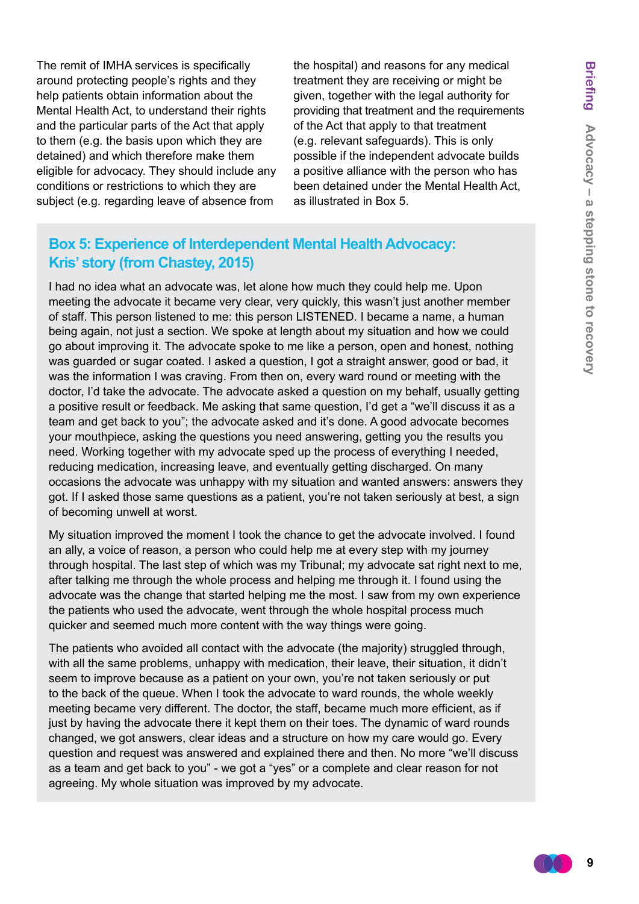The remit of IMHA services is specifically around protecting people's rights and they help patients obtain information about the Mental Health Act, to understand their rights and the particular parts of the Act that apply to them (e.g. the basis upon which they are detained) and which therefore make them eligible for advocacy. They should include any conditions or restrictions to which they are subject (e.g. regarding leave of absence from

the hospital) and reasons for any medical treatment they are receiving or might be given, together with the legal authority for providing that treatment and the requirements of the Act that apply to that treatment (e.g. relevant safeguards). This is only possible if the independent advocate builds a positive alliance with the person who has been detained under the Mental Health Act, as illustrated in Box 5.

#### **Box 5: Experience of Interdependent Mental Health Advocacy: Kris' story (from Chastey, 2015)**

I had no idea what an advocate was, let alone how much they could help me. Upon meeting the advocate it became very clear, very quickly, this wasn't just another member of staff. This person listened to me: this person LISTENED. I became a name, a human being again, not just a section. We spoke at length about my situation and how we could go about improving it. The advocate spoke to me like a person, open and honest, nothing was guarded or sugar coated. I asked a question, I got a straight answer, good or bad, it was the information I was craving. From then on, every ward round or meeting with the doctor, I'd take the advocate. The advocate asked a question on my behalf, usually getting a positive result or feedback. Me asking that same question, I'd get a "we'll discuss it as a team and get back to you"; the advocate asked and it's done. A good advocate becomes your mouthpiece, asking the questions you need answering, getting you the results you need. Working together with my advocate sped up the process of everything I needed, reducing medication, increasing leave, and eventually getting discharged. On many occasions the advocate was unhappy with my situation and wanted answers: answers they got. If I asked those same questions as a patient, you're not taken seriously at best, a sign of becoming unwell at worst.

My situation improved the moment I took the chance to get the advocate involved. I found an ally, a voice of reason, a person who could help me at every step with my journey through hospital. The last step of which was my Tribunal; my advocate sat right next to me, after talking me through the whole process and helping me through it. I found using the advocate was the change that started helping me the most. I saw from my own experience the patients who used the advocate, went through the whole hospital process much quicker and seemed much more content with the way things were going.

The patients who avoided all contact with the advocate (the majority) struggled through, with all the same problems, unhappy with medication, their leave, their situation, it didn't seem to improve because as a patient on your own, you're not taken seriously or put to the back of the queue. When I took the advocate to ward rounds, the whole weekly meeting became very different. The doctor, the staff, became much more efficient, as if just by having the advocate there it kept them on their toes. The dynamic of ward rounds changed, we got answers, clear ideas and a structure on how my care would go. Every question and request was answered and explained there and then. No more "we'll discuss as a team and get back to you" - we got a "yes" or a complete and clear reason for not agreeing. My whole situation was improved by my advocate.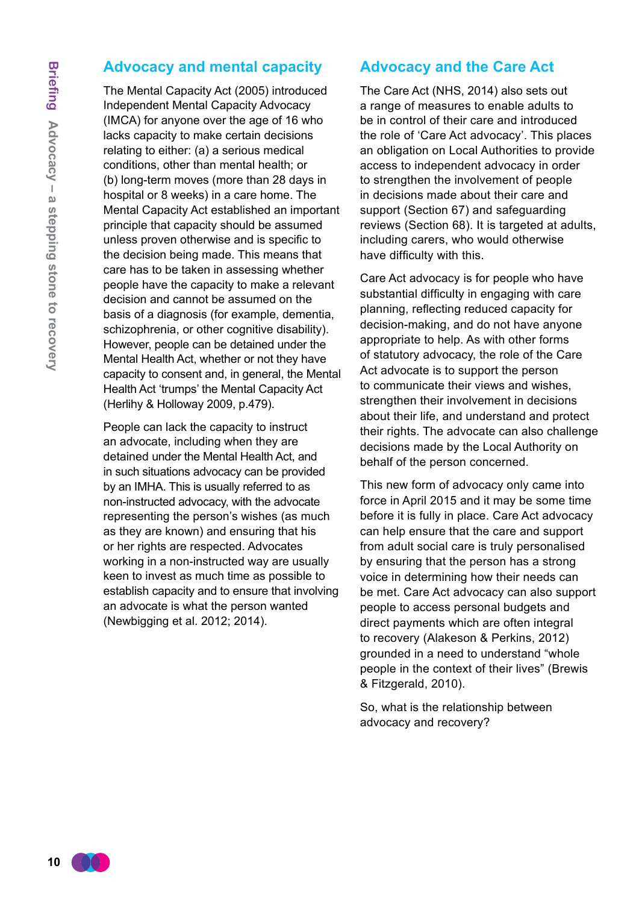#### **Advocacy and mental capacity**

The Mental Capacity Act (2005) introduced Independent Mental Capacity Advocacy (IMCA) for anyone over the age of 16 who lacks capacity to make certain decisions relating to either: (a) a serious medical conditions, other than mental health; or (b) long-term moves (more than 28 days in hospital or 8 weeks) in a care home. The Mental Capacity Act established an important principle that capacity should be assumed unless proven otherwise and is specific to the decision being made. This means that care has to be taken in assessing whether people have the capacity to make a relevant decision and cannot be assumed on the basis of a diagnosis (for example, dementia, schizophrenia, or other cognitive disability). However, people can be detained under the Mental Health Act, whether or not they have capacity to consent and, in general, the Mental Health Act 'trumps' the Mental Capacity Act (Herlihy & Holloway 2009, p.479).

People can lack the capacity to instruct an advocate, including when they are detained under the Mental Health Act, and in such situations advocacy can be provided by an IMHA. This is usually referred to as non-instructed advocacy, with the advocate representing the person's wishes (as much as they are known) and ensuring that his or her rights are respected. Advocates working in a non-instructed way are usually keen to invest as much time as possible to establish capacity and to ensure that involving an advocate is what the person wanted (Newbigging et al. 2012; 2014).

#### **Advocacy and the Care Act**

The Care Act (NHS, 2014) also sets out a range of measures to enable adults to be in control of their care and introduced the role of 'Care Act advocacy'. This places an obligation on Local Authorities to provide access to independent advocacy in order to strengthen the involvement of people in decisions made about their care and support (Section 67) and safeguarding reviews (Section 68). It is targeted at adults, including carers, who would otherwise have difficulty with this.

Care Act advocacy is for people who have substantial difficulty in engaging with care planning, reflecting reduced capacity for decision-making, and do not have anyone appropriate to help. As with other forms of statutory advocacy, the role of the Care Act advocate is to support the person to communicate their views and wishes, strengthen their involvement in decisions about their life, and understand and protect their rights. The advocate can also challenge decisions made by the Local Authority on behalf of the person concerned.

This new form of advocacy only came into force in April 2015 and it may be some time before it is fully in place. Care Act advocacy can help ensure that the care and support from adult social care is truly personalised by ensuring that the person has a strong voice in determining how their needs can be met. Care Act advocacy can also support people to access personal budgets and direct payments which are often integral to recovery (Alakeson & Perkins, 2012) grounded in a need to understand "whole people in the context of their lives" (Brewis & Fitzgerald, 2010).

So, what is the relationship between advocacy and recovery?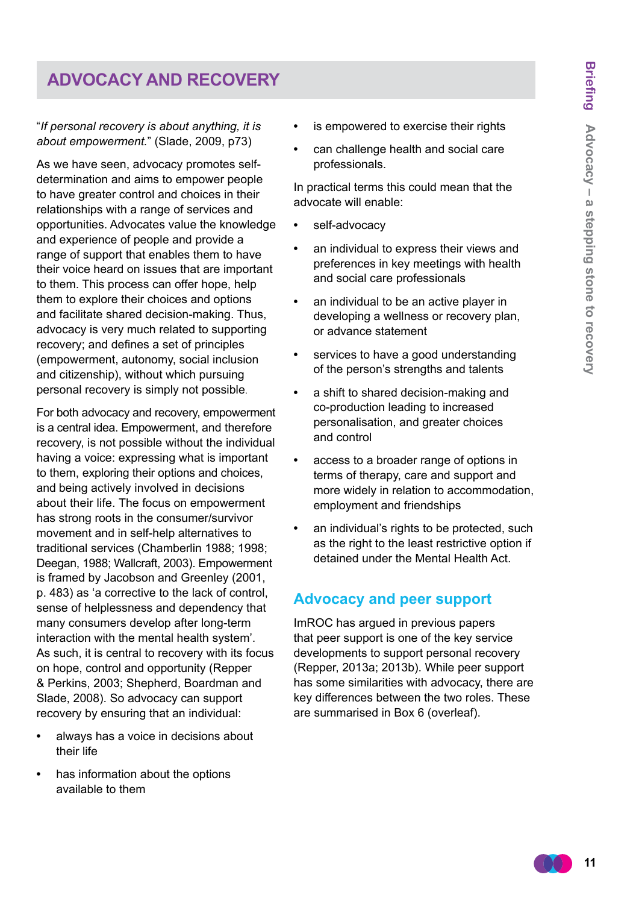## **ADVOCACY and recovery**

#### "*If personal recovery is about anything, it is about empowerment.*" (Slade, 2009, p73)

As we have seen, advocacy promotes selfdetermination and aims to empower people to have greater control and choices in their relationships with a range of services and opportunities. Advocates value the knowledge and experience of people and provide a range of support that enables them to have their voice heard on issues that are important to them. This process can offer hope, help them to explore their choices and options and facilitate shared decision-making. Thus, advocacy is very much related to supporting recovery; and defines a set of principles (empowerment, autonomy, social inclusion and citizenship), without which pursuing personal recovery is simply not possible.

For both advocacy and recovery, empowerment is a central idea. Empowerment, and therefore recovery, is not possible without the individual having a voice: expressing what is important to them, exploring their options and choices, and being actively involved in decisions about their life. The focus on empowerment has strong roots in the consumer/survivor movement and in self-help alternatives to traditional services (Chamberlin 1988; 1998; Deegan, 1988; Wallcraft, 2003). Empowerment is framed by Jacobson and Greenley (2001, p. 483) as 'a corrective to the lack of control, sense of helplessness and dependency that many consumers develop after long-term interaction with the mental health system'. As such, it is central to recovery with its focus on hope, control and opportunity (Repper & Perkins, 2003; Shepherd, Boardman and Slade, 2008). So advocacy can support recovery by ensuring that an individual:

- **•** always has a voice in decisions about their life
- **•** has information about the options available to them
- **•** is empowered to exercise their rights
- **•** can challenge health and social care professionals.

In practical terms this could mean that the advocate will enable:

- **•** self-advocacy
- **•** an individual to express their views and preferences in key meetings with health and social care professionals
- **•** an individual to be an active player in developing a wellness or recovery plan, or advance statement
- **•** services to have a good understanding of the person's strengths and talents
- **•** a shift to shared decision-making and co-production leading to increased personalisation, and greater choices and control
- **•** access to a broader range of options in terms of therapy, care and support and more widely in relation to accommodation, employment and friendships
- **•** an individual's rights to be protected, such as the right to the least restrictive option if detained under the Mental Health Act.

#### **Advocacy and peer support**

ImROC has argued in previous papers that peer support is one of the key service developments to support personal recovery (Repper, 2013a; 2013b). While peer support has some similarities with advocacy, there are key differences between the two roles. These are summarised in Box 6 (overleaf).

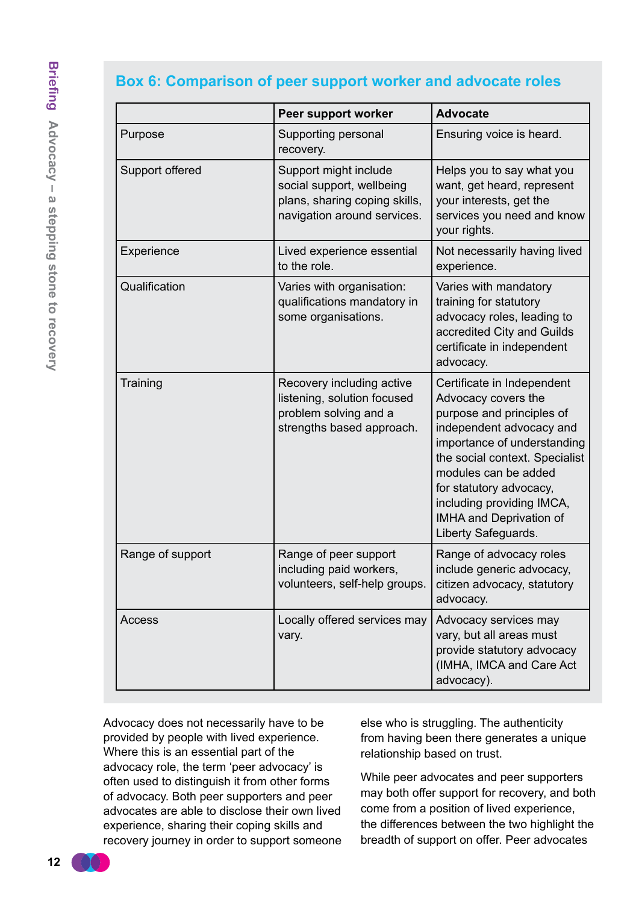#### **Box 6: Comparison of peer support worker and advocate roles**

|                  | Peer support worker                                                                                                | <b>Advocate</b>                                                                                                                                                                                                                                                                                               |
|------------------|--------------------------------------------------------------------------------------------------------------------|---------------------------------------------------------------------------------------------------------------------------------------------------------------------------------------------------------------------------------------------------------------------------------------------------------------|
| Purpose          | Supporting personal<br>recovery.                                                                                   | Ensuring voice is heard.                                                                                                                                                                                                                                                                                      |
| Support offered  | Support might include<br>social support, wellbeing<br>plans, sharing coping skills,<br>navigation around services. | Helps you to say what you<br>want, get heard, represent<br>your interests, get the<br>services you need and know<br>your rights.                                                                                                                                                                              |
| Experience       | Lived experience essential<br>to the role.                                                                         | Not necessarily having lived<br>experience.                                                                                                                                                                                                                                                                   |
| Qualification    | Varies with organisation:<br>qualifications mandatory in<br>some organisations.                                    | Varies with mandatory<br>training for statutory<br>advocacy roles, leading to<br>accredited City and Guilds<br>certificate in independent<br>advocacy.                                                                                                                                                        |
| Training         | Recovery including active<br>listening, solution focused<br>problem solving and a<br>strengths based approach.     | Certificate in Independent<br>Advocacy covers the<br>purpose and principles of<br>independent advocacy and<br>importance of understanding<br>the social context. Specialist<br>modules can be added<br>for statutory advocacy,<br>including providing IMCA,<br>IMHA and Deprivation of<br>Liberty Safeguards. |
| Range of support | Range of peer support<br>including paid workers,<br>volunteers, self-help groups.                                  | Range of advocacy roles<br>include generic advocacy,<br>citizen advocacy, statutory<br>advocacy.                                                                                                                                                                                                              |
| Access           | Locally offered services may<br>vary.                                                                              | Advocacy services may<br>vary, but all areas must<br>provide statutory advocacy<br>(IMHA, IMCA and Care Act<br>advocacy).                                                                                                                                                                                     |

Advocacy does not necessarily have to be provided by people with lived experience. Where this is an essential part of the advocacy role, the term 'peer advocacy' is often used to distinguish it from other forms of advocacy. Both peer supporters and peer advocates are able to disclose their own lived experience, sharing their coping skills and recovery journey in order to support someone else who is struggling. The authenticity from having been there generates a unique relationship based on trust.

While peer advocates and peer supporters may both offer support for recovery, and both come from a position of lived experience, the differences between the two highlight the breadth of support on offer. Peer advocates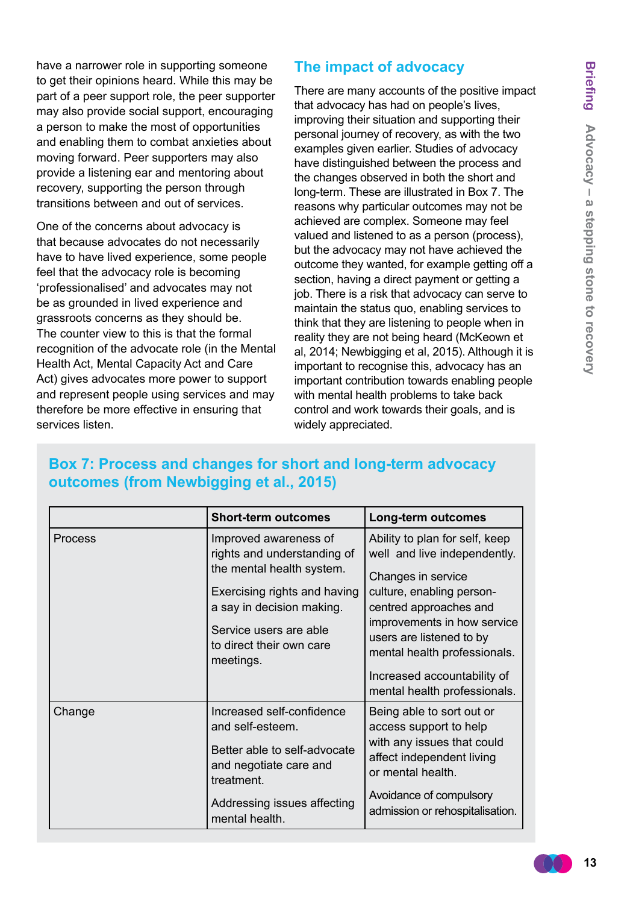have a narrower role in supporting someone to get their opinions heard. While this may be part of a peer support role, the peer supporter may also provide social support, encouraging a person to make the most of opportunities and enabling them to combat anxieties about moving forward. Peer supporters may also provide a listening ear and mentoring about recovery, supporting the person through transitions between and out of services.

One of the concerns about advocacy is that because advocates do not necessarily have to have lived experience, some people feel that the advocacy role is becoming 'professionalised' and advocates may not be as grounded in lived experience and grassroots concerns as they should be. The counter view to this is that the formal recognition of the advocate role (in the Mental Health Act, Mental Capacity Act and Care Act) gives advocates more power to support and represent people using services and may therefore be more effective in ensuring that services listen.

#### **The impact of advocacy**

There are many accounts of the positive impact that advocacy has had on people's lives, improving their situation and supporting their personal journey of recovery, as with the two examples given earlier. Studies of advocacy have distinguished between the process and the changes observed in both the short and long-term. These are illustrated in Box 7. The reasons why particular outcomes may not be achieved are complex. Someone may feel valued and listened to as a person (process), but the advocacy may not have achieved the outcome they wanted, for example getting off a section, having a direct payment or getting a job. There is a risk that advocacy can serve to maintain the status quo, enabling services to think that they are listening to people when in reality they are not being heard (McKeown et al, 2014; Newbigging et al, 2015). Although it is important to recognise this, advocacy has an important contribution towards enabling people with mental health problems to take back control and work towards their goals, and is widely appreciated.

|         | <b>Short-term outcomes</b>                                                                                                                                                                                        | Long-term outcomes                                                                                                                                                                                                                     |
|---------|-------------------------------------------------------------------------------------------------------------------------------------------------------------------------------------------------------------------|----------------------------------------------------------------------------------------------------------------------------------------------------------------------------------------------------------------------------------------|
| Process | Improved awareness of<br>rights and understanding of<br>the mental health system.<br>Exercising rights and having<br>a say in decision making.<br>Service users are able<br>to direct their own care<br>meetings. | Ability to plan for self, keep<br>well and live independently.<br>Changes in service<br>culture, enabling person-<br>centred approaches and<br>improvements in how service<br>users are listened to by<br>mental health professionals. |
|         |                                                                                                                                                                                                                   | Increased accountability of<br>mental health professionals.                                                                                                                                                                            |
| Change  | Increased self-confidence<br>and self-esteem.<br>Better able to self-advocate<br>and negotiate care and<br>treatment.                                                                                             | Being able to sort out or<br>access support to help<br>with any issues that could<br>affect independent living<br>or mental health.                                                                                                    |
|         | Addressing issues affecting<br>mental health.                                                                                                                                                                     | Avoidance of compulsory<br>admission or rehospitalisation.                                                                                                                                                                             |

## **Box 7: Process and changes for short and long-term advocacy outcomes (from Newbigging et al., 2015)**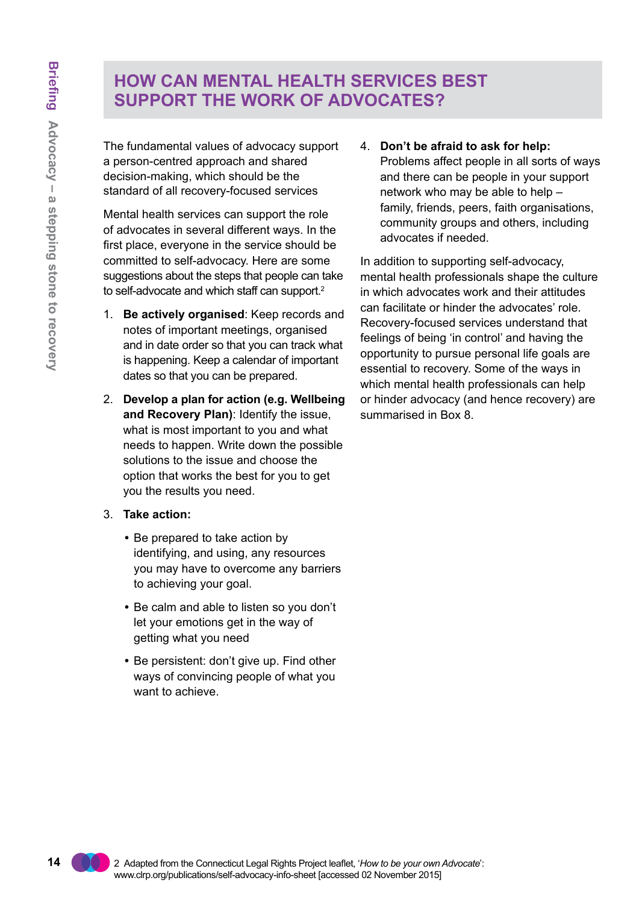## **How can mental health services best support the work of advocates?**

The fundamental values of advocacy support a person-centred approach and shared decision-making, which should be the standard of all recovery-focused services

Mental health services can support the role of advocates in several different ways. In the first place, everyone in the service should be committed to self-advocacy. Here are some suggestions about the steps that people can take to self-advocate and which staff can support.<sup>2</sup>

- 1. **Be actively organised**: Keep records and notes of important meetings, organised and in date order so that you can track what is happening. Keep a calendar of important dates so that you can be prepared.
- 2. **Develop a plan for action (e.g. Wellbeing and Recovery Plan)**: Identify the issue, what is most important to you and what needs to happen. Write down the possible solutions to the issue and choose the option that works the best for you to get you the results you need.
- 3. **Take action:**
	- Be prepared to take action by identifying, and using, any resources you may have to overcome any barriers to achieving your goal.
	- Be calm and able to listen so you don't let your emotions get in the way of getting what you need
	- Be persistent: don't give up. Find other ways of convincing people of what you want to achieve.

4. **Don't be afraid to ask for help:**

Problems affect people in all sorts of ways and there can be people in your support network who may be able to help – family, friends, peers, faith organisations, community groups and others, including advocates if needed.

In addition to supporting self-advocacy, mental health professionals shape the culture in which advocates work and their attitudes can facilitate or hinder the advocates' role. Recovery-focused services understand that feelings of being 'in control' and having the opportunity to pursue personal life goals are essential to recovery. Some of the ways in which mental health professionals can help or hinder advocacy (and hence recovery) are summarised in Box 8.

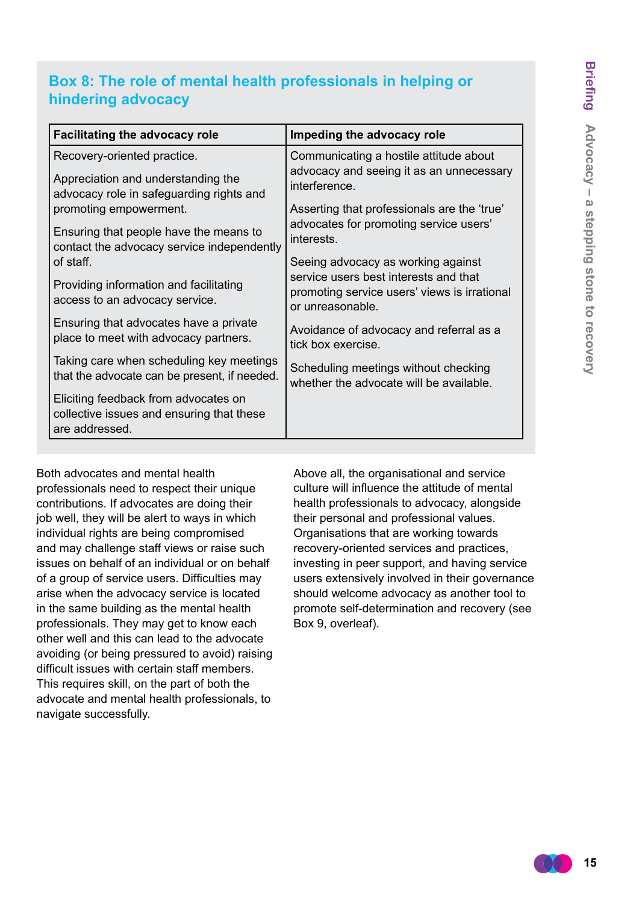## **Box 8: The role of mental health professionals in helping or hindering advocacy**

| <b>Facilitating the advocacy role</b>                                                               | Impeding the advocacy role                                                                                |  |
|-----------------------------------------------------------------------------------------------------|-----------------------------------------------------------------------------------------------------------|--|
| Recovery-oriented practice.                                                                         | Communicating a hostile attitude about<br>advocacy and seeing it as an unnecessary<br>interference.       |  |
| Appreciation and understanding the<br>advocacy role in safeguarding rights and                      |                                                                                                           |  |
| promoting empowerment.                                                                              | Asserting that professionals are the 'true'                                                               |  |
| Ensuring that people have the means to<br>contact the advocacy service independently                | advocates for promoting service users'<br>interests.                                                      |  |
| of staff.                                                                                           | Seeing advocacy as working against                                                                        |  |
| Providing information and facilitating<br>access to an advocacy service.                            | service users best interests and that<br>promoting service users' views is irrational<br>or unreasonable. |  |
| Ensuring that advocates have a private<br>place to meet with advocacy partners.                     | Avoidance of advocacy and referral as a<br>tick box exercise.                                             |  |
| Taking care when scheduling key meetings<br>that the advocate can be present, if needed.            | Scheduling meetings without checking<br>whether the advocate will be available.                           |  |
| Eliciting feedback from advocates on<br>collective issues and ensuring that these<br>are addressed. |                                                                                                           |  |
|                                                                                                     |                                                                                                           |  |

Both advocates and mental health professionals need to respect their unique contributions. If advocates are doing their job well, they will be alert to ways in which individual rights are being compromised and may challenge staff views or raise such issues on behalf of an individual or on behalf of a group of service users. Difficulties may arise when the advocacy service is located in the same building as the mental health professionals. They may get to know each other well and this can lead to the advocate avoiding (or being pressured to avoid) raising difficult issues with certain staff members. This requires skill, on the part of both the advocate and mental health professionals, to navigate successfully.

Above all, the organisational and service culture will influence the attitude of mental health professionals to advocacy, alongside their personal and professional values. Organisations that are working towards recovery-oriented services and practices, investing in peer support, and having service users extensively involved in their governance should welcome advocacy as another tool to promote self-determination and recovery (see Box 9, overleaf).

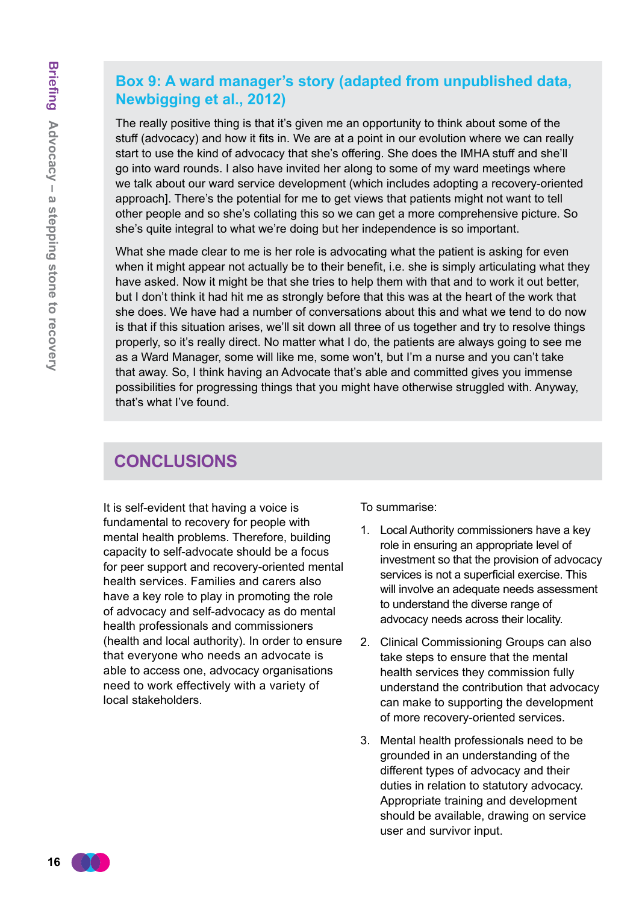#### **Box 9: A ward manager's story (adapted from unpublished data, Newbigging et al., 2012)**

The really positive thing is that it's given me an opportunity to think about some of the stuff (advocacy) and how it fits in. We are at a point in our evolution where we can really start to use the kind of advocacy that she's offering. She does the IMHA stuff and she'll go into ward rounds. I also have invited her along to some of my ward meetings where we talk about our ward service development (which includes adopting a recovery-oriented approach]. There's the potential for me to get views that patients might not want to tell other people and so she's collating this so we can get a more comprehensive picture. So she's quite integral to what we're doing but her independence is so important.

What she made clear to me is her role is advocating what the patient is asking for even when it might appear not actually be to their benefit, i.e. she is simply articulating what they have asked. Now it might be that she tries to help them with that and to work it out better, but I don't think it had hit me as strongly before that this was at the heart of the work that she does. We have had a number of conversations about this and what we tend to do now is that if this situation arises, we'll sit down all three of us together and try to resolve things properly, so it's really direct. No matter what I do, the patients are always going to see me as a Ward Manager, some will like me, some won't, but I'm a nurse and you can't take that away. So, I think having an Advocate that's able and committed gives you immense possibilities for progressing things that you might have otherwise struggled with. Anyway, that's what I've found.

## **conclusions**

It is self-evident that having a voice is fundamental to recovery for people with mental health problems. Therefore, building capacity to self-advocate should be a focus for peer support and recovery-oriented mental health services. Families and carers also have a key role to play in promoting the role of advocacy and self-advocacy as do mental health professionals and commissioners (health and local authority). In order to ensure that everyone who needs an advocate is able to access one, advocacy organisations need to work effectively with a variety of local stakeholders.

To summarise:

- 1. Local Authority commissioners have a key role in ensuring an appropriate level of investment so that the provision of advocacy services is not a superficial exercise. This will involve an adequate needs assessment to understand the diverse range of advocacy needs across their locality.
- 2. Clinical Commissioning Groups can also take steps to ensure that the mental health services they commission fully understand the contribution that advocacy can make to supporting the development of more recovery-oriented services.
- 3. Mental health professionals need to be grounded in an understanding of the different types of advocacy and their duties in relation to statutory advocacy. Appropriate training and development should be available, drawing on service user and survivor input.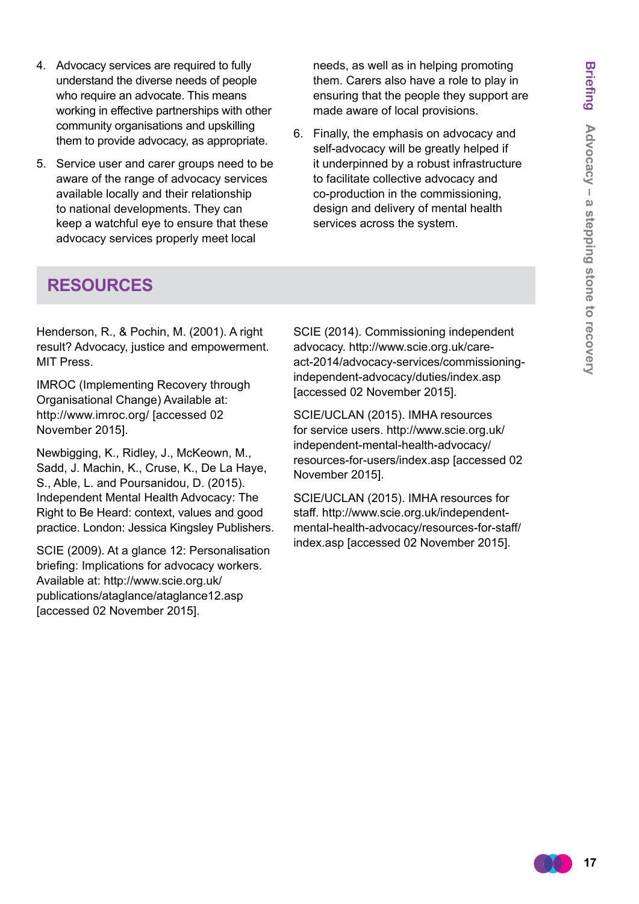- 4. Advocacy services are required to fully understand the diverse needs of people who require an advocate. This means working in effective partnerships with other community organisations and upskilling them to provide advocacy, as appropriate.
- 5. Service user and carer groups need to be aware of the range of advocacy services available locally and their relationship to national developments. They can keep a watchful eye to ensure that these advocacy services properly meet local

needs, as well as in helping promoting them. Carers also have a role to play in ensuring that the people they support are made aware of local provisions.

6. Finally, the emphasis on advocacy and self-advocacy will be greatly helped if it underpinned by a robust infrastructure to facilitate collective advocacy and co-production in the commissioning, design and delivery of mental health services across the system.

## **resources**

Henderson, R., & Pochin, M. (2001). A right result? Advocacy, justice and empowerment. MIT Press.

IMROC (Implementing Recovery through Organisational Change) Available at: <http://www.imroc.org/> [accessed 02 November 2015].

Newbigging, K., Ridley, J., McKeown, M., Sadd, J. Machin, K., Cruse, K., De La Haye, S., Able, L. and Poursanidou, D. (2015). Independent Mental Health Advocacy: The Right to Be Heard: context, values and good practice. London: Jessica Kingsley Publishers.

SCIE (2009). At a glance 12: Personalisation briefing: Implications for advocacy workers. Available at: http://www.scie.org.uk/ [publications/ataglance/ataglance12.asp](ww.scie.org.uk/publications/ataglance/ataglance12.asp)  [accessed 02 November 2015].

SCIE (2014). Commissioning independent advocacy. http://www.scie.org.uk/careact-2014/advocacy-services/commissioningindependent-advocacy/duties/index.asp [accessed 02 November 2015].

SCIE/UCLAN (2015). IMHA resources [for service users. http://www.scie.org.uk/](http://www.scie.org.uk/independent-mental-health-advocacy/resources-for-users/index.asp) independent-mental-health-advocacy/ resources-for-users/index.asp [accessed 02 November 2015].

SCIE/UCLAN (2015). IMHA resources for staff. [http://www.scie.org.uk/independent](http://www.scie.org.uk/independent-mental-health-advocacy/resources-for-staff/index.asp)[mental-health-advocacy/resources-for-staff/](http://www.scie.org.uk/independent-mental-health-advocacy/resources-for-staff/index.asp) [index.asp](http://www.scie.org.uk/independent-mental-health-advocacy/resources-for-staff/index.asp) [accessed 02 November 2015].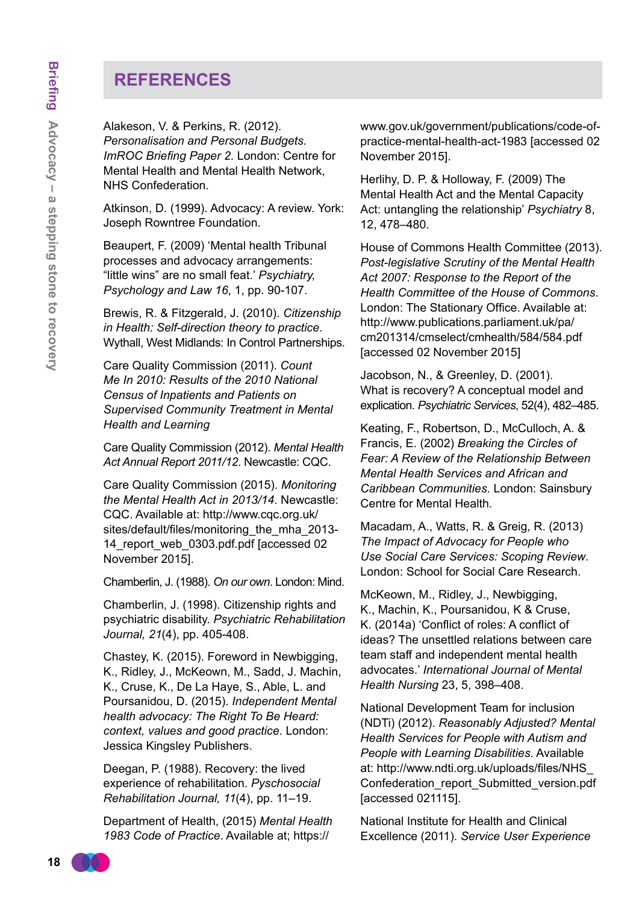## **References**

Alakeson, V. & Perkins, R. (2012). *Personalisation and Personal Budgets. ImROC Briefing Paper 2.* London: Centre for Mental Health and Mental Health Network, NHS Confederation.

Atkinson, D. (1999). Advocacy: A review. York: Joseph Rowntree Foundation.

Beaupert, F. (2009) 'Mental health Tribunal processes and advocacy arrangements: "little wins" are no small feat.' *Psychiatry, Psychology and Law 16*, 1, pp. 90-107.

Brewis, R. & Fitzgerald, J. (2010). *Citizenship in Health: Self-direction theory to practice*. Wythall, West Midlands: In Control Partnerships.

Care Quality Commission (2011). *Count Me In 2010: Results of the 2010 National Census of Inpatients and Patients on Supervised Community Treatment in Mental Health and Learning*

Care Quality Commission (2012). *Mental Health Act Annual Report 2011/12*. Newcastle: CQC.

Care Quality Commission (2015). *Monitoring the Mental Health Act in 2013/14*. Newcastle: CQC. Available at: [http://www.cqc.org.uk/](http://www.cqc.org.uk/sites/default/files/monitoring_the_mha_2013-14_report_web_0303.pdf.pdf) [sites/default/files/monitoring\\_the\\_mha\\_2013-](http://www.cqc.org.uk/sites/default/files/monitoring_the_mha_2013-14_report_web_0303.pdf.pdf) 14 report web 0303.pdf.pdf [accessed 02 November 2015].

Chamberlin, J. (1988). *On our own*. London: Mind.

Chamberlin, J. (1998). Citizenship rights and psychiatric disability. *Psychiatric Rehabilitation Journal, 21*(4), pp. 405-408.

Chastey, K. (2015). Foreword in Newbigging, K., Ridley, J., McKeown, M., Sadd, J. Machin, K., Cruse, K., De La Haye, S., Able, L. and Poursanidou, D. (2015). *Independent Mental health advocacy: The Right To Be Heard: context, values and good practice*. London: Jessica Kingsley Publishers.

Deegan, P. (1988). Recovery: the lived experience of rehabilitation. *Pyschosocial Rehabilitation Journal, 11*(4), pp. 11–19.

Department of Health, (2015) *Mental Health 1983 Code of Practice*. Available at; https://

www.gov.uk/government/publications/code-ofpractice-mental-health-act-1983 [accessed 02 November 2015].

Herlihy, D. P. & Holloway, F. (2009) The Mental Health Act and the Mental Capacity Act: untangling the relationship' *Psychiatry* 8, 12, 478–480.

House of Commons Health Committee (2013). *Post-legislative Scrutiny of the Mental Health Act 2007: Response to the Report of the Health Committee of the House of Commons*. London: The Stationary Office. Available at: [http://www.publications.parliament.uk/pa/](http://www.publications.parliament.uk/pa/cm201314/cmselect/cmhealth/584/584.pdf) [cm201314/cmselect/cmhealth/584/584.pdf](http://www.publications.parliament.uk/pa/cm201314/cmselect/cmhealth/584/584.pdf)  [accessed 02 November 2015]

Jacobson, N., & Greenley, D. (2001). What is recovery? A conceptual model and explication. *Psychiatric Services*, 52(4), 482–485.

Keating, F., Robertson, D., McCulloch, A. & Francis, E. (2002) *Breaking the Circles of Fear: A Review of the Relationship Between Mental Health Services and African and Caribbean Communities*. London: Sainsbury Centre for Mental Health.

Macadam, A., Watts, R. & Greig, R. (2013) *The Impact of Advocacy for People who Use Social Care Services: Scoping Review*. London: School for Social Care Research.

McKeown, M., Ridley, J., Newbigging, K., Machin, K., Poursanidou, K & Cruse, K. (2014a) 'Conflict of roles: A conflict of ideas? The unsettled relations between care team staff and independent mental health advocates.' *International Journal of Mental Health Nursing* 23, 5, 398–408.

National Development Team for inclusion (NDTi) (2012). *Reasonably Adjusted? Mental Health Services for People with Autism and People with Learning Disabilities*. Available at: [http://www.ndti.org.uk/uploads/files/NHS\\_](http://www.ndti.org.uk/uploads/files/NHS_Confederation_report_Submitted_version.pdf) [Confederation\\_report\\_Submitted\\_version.pdf](http://www.ndti.org.uk/uploads/files/NHS_Confederation_report_Submitted_version.pdf) [accessed 021115].

National Institute for Health and Clinical Excellence (2011). *Service User Experience*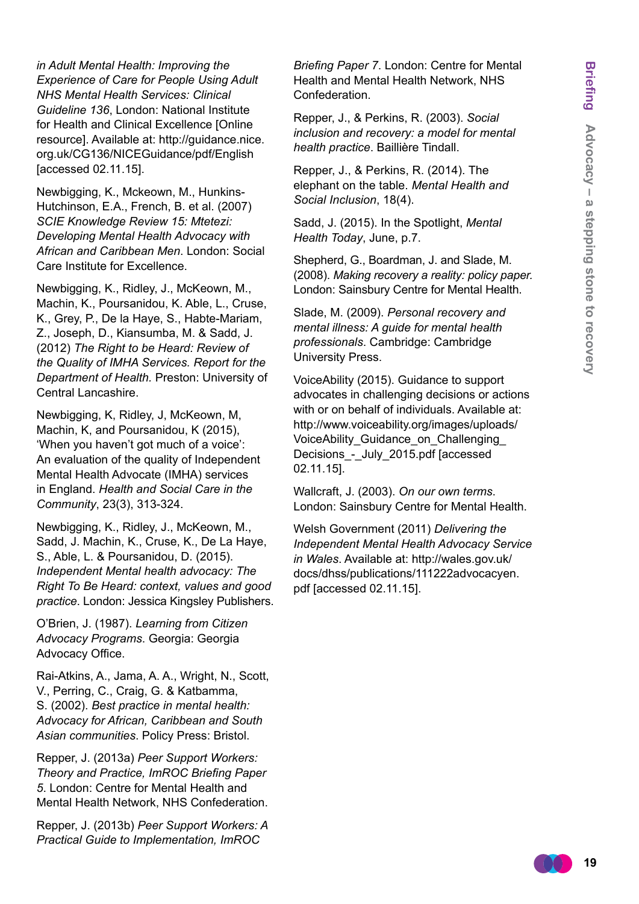*in Adult Mental Health: Improving the Experience of Care for People Using Adult NHS Mental Health Services: Clinical Guideline 136*, London: National Institute for Health and Clinical Excellence [Online resource]. Available at: [http://guidance.nice.](http://guidance.nice.org.uk/CG136/NICEGuidance/pdf/English) [org.uk/CG136/NICEGuidance/pdf/English](http://guidance.nice.org.uk/CG136/NICEGuidance/pdf/English) [accessed 02.11.15].

Newbigging, K., Mckeown, M., Hunkins-Hutchinson, E.A., French, B. et al. (2007) *SCIE Knowledge Review 15: Mtetezi: Developing Mental Health Advocacy with African and Caribbean Men*. London: Social Care Institute for Excellence.

Newbigging, K., Ridley, J., McKeown, M., Machin, K., Poursanidou, K. Able, L., Cruse, K., Grey, P., De la Haye, S., Habte-Mariam, Z., Joseph, D., Kiansumba, M. & Sadd, J. (2012) *The Right to be Heard: Review of the Quality of IMHA Services. Report for the Department of Health.* Preston: University of Central Lancashire.

Newbigging, K, Ridley, J, McKeown, M, Machin, K, and Poursanidou, K (2015), 'When you haven't got much of a voice': An evaluation of the quality of Independent Mental Health Advocate (IMHA) services in England. *Health and Social Care in the Community*, 23(3), 313-324.

Newbigging, K., Ridley, J., McKeown, M., Sadd, J. Machin, K., Cruse, K., De La Haye, S., Able, L. & Poursanidou, D. (2015). *Independent Mental health advocacy: The Right To Be Heard: context, values and good practice*. London: Jessica Kingsley Publishers.

O'Brien, J. (1987). *Learning from Citizen Advocacy Programs*. Georgia: Georgia Advocacy Office.

Rai-Atkins, A., Jama, A. A., Wright, N., Scott, V., Perring, C., Craig, G. & Katbamma, S. (2002). *Best practice in mental health: Advocacy for African, Caribbean and South Asian communities*. Policy Press: Bristol.

Repper, J. (2013a) *Peer Support Workers: Theory and Practice, ImROC Briefing Paper 5*. London: Centre for Mental Health and Mental Health Network, NHS Confederation.

Repper, J. (2013b) *Peer Support Workers: A Practical Guide to Implementation, ImROC* 

*Briefing Paper 7*. London: Centre for Mental Health and Mental Health Network, NHS Confederation.

Repper, J., & Perkins, R. (2003). *Social inclusion and recovery: a model for mental health practice*. Baillière Tindall.

Repper, J., & Perkins, R. (2014). The elephant on the table. *Mental Health and Social Inclusion*, 18(4).

Sadd, J. (2015). In the Spotlight, *Mental Health Today*, June, p.7.

Shepherd, G., Boardman, J. and Slade, M. (2008). *Making recovery a reality: policy paper.*  London: Sainsbury Centre for Mental Health.

Slade, M. (2009). *Personal recovery and mental illness: A guide for mental health professionals*. Cambridge: Cambridge University Press.

VoiceAbility (2015). Guidance to support advocates in challenging decisions or actions with or on behalf of individuals. Available at: [http://www.voiceability.org/images/uploads/](http://www.voiceability.org/images/uploads/VoiceAbility_Guidance_on_Challenging_Decisions_-_July_2015.pdf) [VoiceAbility\\_Guidance\\_on\\_Challenging\\_](http://www.voiceability.org/images/uploads/VoiceAbility_Guidance_on_Challenging_Decisions_-_July_2015.pdf) Decisions - July 2015.pdf [accessed 02.11.15].

Wallcraft, J. (2003). *On our own terms*. London: Sainsbury Centre for Mental Health.

Welsh Government (2011) *Delivering the Independent Mental Health Advocacy Service in Wales*. Available at: [http://wales.gov.uk/](http://wales.gov.uk/docs/dhss/publications/111222advocacyen.pdf) [docs/dhss/publications/111222advocacyen.](http://wales.gov.uk/docs/dhss/publications/111222advocacyen.pdf) [pdf](http://wales.gov.uk/docs/dhss/publications/111222advocacyen.pdf) [accessed 02.11.15].